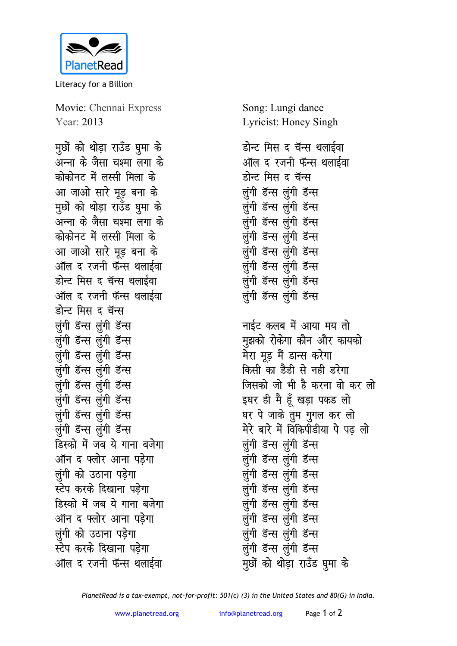

Literacy for a Billion

Movie: Chennai Express Year: 2013

<u>मु</u>छों को थोड़ा राउँड घुमा के जन्ना के जैसा चश्मा लगा के <u>कोकोनट में लस्सी मिला के</u> आ जाओ सारे मूड़ बना के <u>मु</u>र्छो को थोड़ा राउँड घुमा के अन्ना के जैसा चश्मा लगा क<mark>े</mark> <u>कोकोनट में लस्सी मिला के</u> आ जाओ सारे मूड़ बना के <u>ऑल द रजनी फॅन्स थलाईवा</u> <u>डोन्ट मिस द चॅन्स थलाईवा</u> <u>ऑल द रजनी फॅन्स थलाईवा</u> होन्ट मिस द चॅ<del>न्</del>स लुंगी डॅन्स लुंगी डॅन्स लुंगी डॅन्स लुंगी डॅन्स लूंगी डॅन्स लूंगी डॅन्स लुंगी डॅन्स लुंगी डॅन्स लुंगी डॅन्स लुंगी डॅन्स लुंगी डॅन्स लुंगी डॅन्स लुंगी डॅन्स लुंगी डॅन्स लुंगी डॅन्स लुंगी डॅन्स **डिस्को में जब ये गाना बजेगा** <u>ऑन द फ्लोर आना पडेगा</u> *लंगी को उठाना पड़ेगा* **स्टेप करके दिखाना पडेगा** हिस्को में जब ये गाना बजेगा <u>ऑन द फ्लोर आना पडेगा</u> *लुंगी को उ*ठाना पडेगा **स्टेप करके दिखाना पडेगा** <u>ऑल द रजनी फॅन्स थलाईवा</u>

Song: Lungi dance Lyricist: Honey Singh

डोन्ट मिस द चॅन्स थलाईवा <u>ऑल द रजनी फॅन्स थलाईवा</u> डोन्ट मिस द चॅ<del>न्</del>स लुंगी डॅन्स लुंगी डॅन्स लुंगी डॅन्स लुंगी डॅन्स लुंगी डॅन्स लुंगी डॅन्स लुंगी डॅन्स लुंगी डॅन्स लुंगी डॅन्स लूंगी डॅन्स लुंगी डॅन्स लुंगी डॅन्स लूंगी डॅन्स लूंगी डॅन्स लूंगी डॅन्स लूंगी डॅन्स

**नाईट कलब में आया मय तो मुझको रोकेगा कौन और कायको** मेरा मूड़ मैं ड<del>ान्</del>स करेगा किसी का डैडी से नही **डरेगा** <u>जिसको जो भी है करना वो कर लो</u> इधर ही मै हूँ खड़ा पकड लो घर पे जाके तुम गुगल कर लो मेरे बारे में विकिपीडीया पे पढ़ लो लुंगी डॅन्स लुंगी डॅन्स लुंगी डॅन्स लुंगी डॅन्स लुंगी डॅन्स लुंगी डॅन्स लुंगी डॅन्स लुंगी डॅन्स लुंगी डॅन्स लुंगी डॅन्स लूंगी डॅन्स लूंगी डॅन्स लुंगी डॅन्स लुंगी डॅन्स लुंगी डॅन्स लुंगी डॅन्स <u>मु</u>र्छो को थोड़ा राउँड घुमा के

*PlanetRead is a tax-exempt, not-for-profit: 501(c) (3) in the United States and 80(G) in India.*